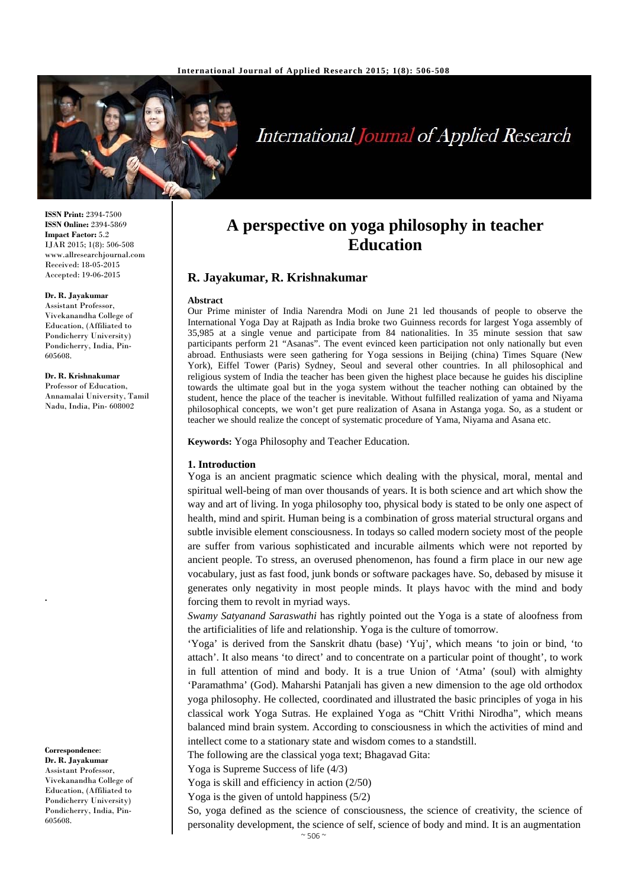

# International Journal of Applied Research

**ISSN Print:** 2394-7500 **ISSN Online:** 2394-5869 **Impact Factor:** 5.2 IJAR 2015; 1(8): 506-508 www.allresearchjournal.com Received: 18-05-2015 Accepted: 19-06-2015

## **Dr. R. Jayakumar**

Assistant Professor, Vivekanandha College of Education, (Affiliated to Pondicherry University) Pondicherry, India, Pin-605608.

#### **Dr. R. Krishnakumar**

Professor of Education, Annamalai University, Tamil Nadu, India, Pin- 608002

#### **Correspondence**: **Dr. R. Jayakumar**  Assistant Professor, Vivekanandha College of Education, (Affiliated to Pondicherry University) Pondicherry, India, Pin-605608.

**.** 

## **A perspective on yoga philosophy in teacher Education**

## **R. Jayakumar, R. Krishnakumar**

#### **Abstract**

Our Prime minister of India Narendra Modi on June 21 led thousands of people to observe the International Yoga Day at Rajpath as India broke two Guinness records for largest Yoga assembly of 35,985 at a single venue and participate from 84 nationalities. In 35 minute session that saw participants perform 21 "Asanas". The event evinced keen participation not only nationally but even abroad. Enthusiasts were seen gathering for Yoga sessions in Beijing (china) Times Square (New York), Eiffel Tower (Paris) Sydney, Seoul and several other countries. In all philosophical and religious system of India the teacher has been given the highest place because he guides his discipline towards the ultimate goal but in the yoga system without the teacher nothing can obtained by the student, hence the place of the teacher is inevitable. Without fulfilled realization of yama and Niyama philosophical concepts, we won't get pure realization of Asana in Astanga yoga. So, as a student or teacher we should realize the concept of systematic procedure of Yama, Niyama and Asana etc.

**Keywords:** Yoga Philosophy and Teacher Education.

#### **1. Introduction**

Yoga is an ancient pragmatic science which dealing with the physical, moral, mental and spiritual well-being of man over thousands of years. It is both science and art which show the way and art of living. In yoga philosophy too, physical body is stated to be only one aspect of health, mind and spirit. Human being is a combination of gross material structural organs and subtle invisible element consciousness. In todays so called modern society most of the people are suffer from various sophisticated and incurable ailments which were not reported by ancient people. To stress, an overused phenomenon, has found a firm place in our new age vocabulary, just as fast food, junk bonds or software packages have. So, debased by misuse it generates only negativity in most people minds. It plays havoc with the mind and body forcing them to revolt in myriad ways.

*Swamy Satyanand Saraswathi* has rightly pointed out the Yoga is a state of aloofness from the artificialities of life and relationship. Yoga is the culture of tomorrow.

'Yoga' is derived from the Sanskrit dhatu (base) 'Yuj', which means 'to join or bind, 'to attach'. It also means 'to direct' and to concentrate on a particular point of thought', to work in full attention of mind and body. It is a true Union of 'Atma' (soul) with almighty 'Paramathma' (God). Maharshi Patanjali has given a new dimension to the age old orthodox yoga philosophy. He collected, coordinated and illustrated the basic principles of yoga in his classical work Yoga Sutras. He explained Yoga as "Chitt Vrithi Nirodha", which means balanced mind brain system. According to consciousness in which the activities of mind and intellect come to a stationary state and wisdom comes to a standstill.

The following are the classical yoga text; Bhagavad Gita:

Yoga is Supreme Success of life (4/3)

Yoga is skill and efficiency in action (2/50)

Yoga is the given of untold happiness (5/2)

So, yoga defined as the science of consciousness, the science of creativity, the science of personality development, the science of self, science of body and mind. It is an augmentation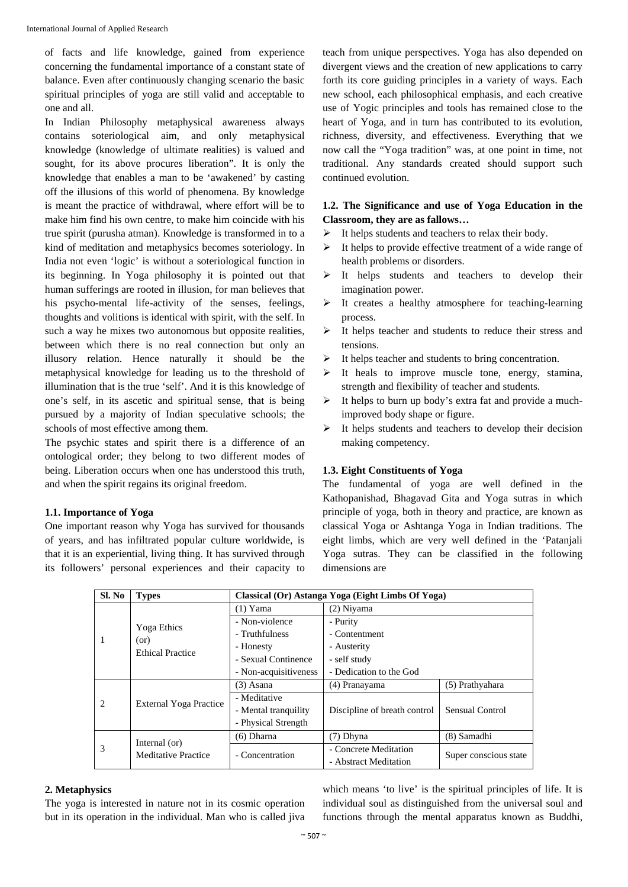of facts and life knowledge, gained from experience concerning the fundamental importance of a constant state of balance. Even after continuously changing scenario the basic spiritual principles of yoga are still valid and acceptable to one and all.

In Indian Philosophy metaphysical awareness always contains soteriological aim, and only metaphysical knowledge (knowledge of ultimate realities) is valued and sought, for its above procures liberation". It is only the knowledge that enables a man to be 'awakened' by casting off the illusions of this world of phenomena. By knowledge is meant the practice of withdrawal, where effort will be to make him find his own centre, to make him coincide with his true spirit (purusha atman). Knowledge is transformed in to a kind of meditation and metaphysics becomes soteriology. In India not even 'logic' is without a soteriological function in its beginning. In Yoga philosophy it is pointed out that human sufferings are rooted in illusion, for man believes that his psycho-mental life-activity of the senses, feelings, thoughts and volitions is identical with spirit, with the self. In such a way he mixes two autonomous but opposite realities, between which there is no real connection but only an illusory relation. Hence naturally it should be the metaphysical knowledge for leading us to the threshold of illumination that is the true 'self'. And it is this knowledge of one's self, in its ascetic and spiritual sense, that is being pursued by a majority of Indian speculative schools; the schools of most effective among them.

The psychic states and spirit there is a difference of an ontological order; they belong to two different modes of being. Liberation occurs when one has understood this truth, and when the spirit regains its original freedom.

## **1.1. Importance of Yoga**

One important reason why Yoga has survived for thousands of years, and has infiltrated popular culture worldwide, is that it is an experiential, living thing. It has survived through its followers' personal experiences and their capacity to teach from unique perspectives. Yoga has also depended on divergent views and the creation of new applications to carry forth its core guiding principles in a variety of ways. Each new school, each philosophical emphasis, and each creative use of Yogic principles and tools has remained close to the heart of Yoga, and in turn has contributed to its evolution, richness, diversity, and effectiveness. Everything that we now call the "Yoga tradition" was, at one point in time, not traditional. Any standards created should support such continued evolution.

## **1.2. The Significance and use of Yoga Education in the Classroom, they are as fallows…**

- $\triangleright$  It helps students and teachers to relax their body.
- $\triangleright$  It helps to provide effective treatment of a wide range of health problems or disorders.
- $\triangleright$  It helps students and teachers to develop their imagination power.
- $\triangleright$  It creates a healthy atmosphere for teaching-learning process.
- $\triangleright$  It helps teacher and students to reduce their stress and tensions.
- $\triangleright$  It helps teacher and students to bring concentration.
- $\triangleright$  It heals to improve muscle tone, energy, stamina, strength and flexibility of teacher and students.
- $\triangleright$  It helps to burn up body's extra fat and provide a muchimproved body shape or figure.
- $\triangleright$  It helps students and teachers to develop their decision making competency.

## **1.3. Eight Constituents of Yoga**

The fundamental of yoga are well defined in the Kathopanishad, Bhagavad Gita and Yoga sutras in which principle of yoga, both in theory and practice, are known as classical Yoga or Ashtanga Yoga in Indian traditions. The eight limbs, which are very well defined in the 'Patanjali Yoga sutras. They can be classified in the following dimensions are

| Sl. No | <b>Types</b>                                   | Classical (Or) Astanga Yoga (Eight Limbs Of Yoga) |                              |                       |
|--------|------------------------------------------------|---------------------------------------------------|------------------------------|-----------------------|
| -1     | Yoga Ethics<br>(or)<br><b>Ethical Practice</b> | $(1)$ Yama                                        | (2) Niyama                   |                       |
|        |                                                | - Non-violence                                    | - Purity                     |                       |
|        |                                                | - Truthfulness                                    | - Contentment                |                       |
|        |                                                | - Honesty                                         | - Austerity                  |                       |
|        |                                                | - Sexual Continence                               | - self study                 |                       |
|        |                                                | - Non-acquisitiveness                             | - Dedication to the God      |                       |
| 2      | <b>External Yoga Practice</b>                  | $(3)$ Asana                                       | (4) Pranayama                | (5) Prathyahara       |
|        |                                                | - Meditative                                      |                              |                       |
|        |                                                | - Mental tranquility                              | Discipline of breath control | Sensual Control       |
|        |                                                | - Physical Strength                               |                              |                       |
| 3      | Internal (or)<br><b>Meditative Practice</b>    | $(6)$ Dharna                                      | $(7)$ Dhyna                  | (8) Samadhi           |
|        |                                                | - Concentration                                   | - Concrete Meditation        | Super conscious state |
|        |                                                |                                                   | - Abstract Meditation        |                       |

## **2. Metaphysics**

The yoga is interested in nature not in its cosmic operation but in its operation in the individual. Man who is called jiva which means 'to live' is the spiritual principles of life. It is individual soul as distinguished from the universal soul and functions through the mental apparatus known as Buddhi,